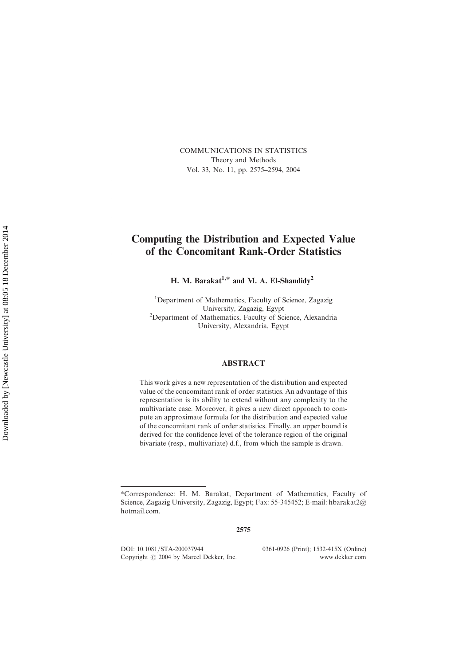COMMUNICATIONS IN STATISTICS Theory and Methods Vol. 33, No. 11, pp. 2575–2594, 2004

# Computing the Distribution and Expected Value of the Concomitant Rank-Order Statistics

H. M. Barakat<sup>1,\*</sup> and M. A. El-Shandidy<sup>2</sup>

<sup>1</sup>Department of Mathematics, Faculty of Science, Zagazig University, Zagazig, Egypt<br><sup>2</sup>Department of Mathematics, Faculty of Science, Alexandria University, Alexandria, Egypt

#### ABSTRACT

This work gives a new representation of the distribution and expected value of the concomitant rank of order statistics. An advantage of this representation is its ability to extend without any complexity to the multivariate case. Moreover, it gives a new direct approach to compute an approximate formula for the distribution and expected value of the concomitant rank of order statistics. Finally, an upper bound is derived for the confidence level of the tolerance region of the original bivariate (resp., multivariate) d.f., from which the sample is drawn.

2575

DOI: 10.1081/STA-200037944 0361-0926 (Print); 1532-415X (Online)<br>Copyright © 2004 by Marcel Dekker. Inc. www.dekker.com Copyright  $\odot$  2004 by Marcel Dekker, Inc.

 $\overline{1}$ 

30

<sup>\*</sup>Correspondence: H. M. Barakat, Department of Mathematics, Faculty of Science, Zagazig University, Zagazig, Egypt; Fax: 55-345452; E-mail: hbarakat2@ hotmail.com.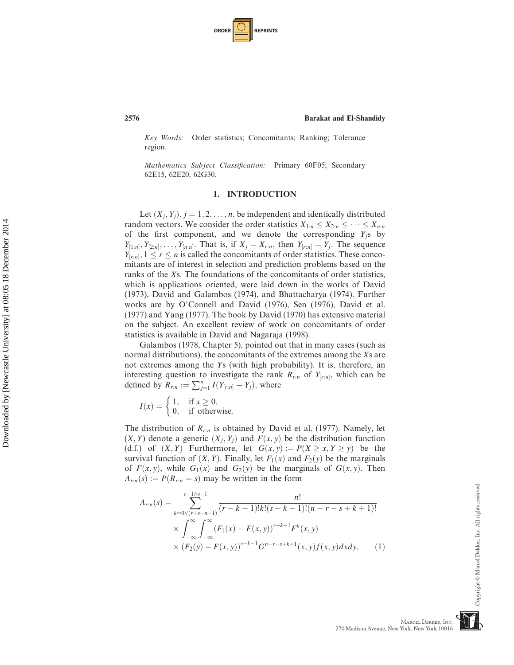| <b>ORDER</b> |  | <b>REPRINTS</b> |
|--------------|--|-----------------|
|--------------|--|-----------------|

Key Words: Order statistics; Concomitants; Ranking; Tolerance region.

Mathematics Subject Classification: Primary 60F05; Secondary 62E15, 62E20, 62G30.

# 1. INTRODUCTION

Let  $(X_i, Y_i), j = 1, 2, \ldots, n$ , be independent and identically distributed random vectors. We consider the order statistics  $X_{1:n} \leq X_{2:n} \leq \cdots \leq X_{n:n}$ <br>of the first component, and we denote the corresponding  $Y_s$  by of the first component, and we denote the corresponding  $Y_j$ s by  $Y_{[1:n]}, Y_{[2:n]}, \ldots, Y_{[n:n]}$ . That is, if  $X_j = X_{r:n}$ , then  $Y_{[r:n]} = Y_j$ . The sequence  $Y_{[r,n]}$ ,  $1 \leq r \leq n$  is called the concomitants of order statistics. These concomitants are of interest in selection and prediction problems based on the ranks of the Xs. The foundations of the concomitants of order statistics, which is applications oriented, were laid down in the works of David (1973), David and Galambos (1974), and Bhattacharya (1974). Further works are by O'Connell and David (1976), Sen (1976), David et al. (1977) and Yang (1977). The book by David (1970) has extensive material on the subject. An excellent review of work on concomitants of order statistics is available in David and Nagaraja (1998).

Galambos (1978, Chapter 5), pointed out that in many cases (such as normal distributions), the concomitants of the extremes among the Xs are not extremes among the Ys (with high probability). It is, therefore, an interesting question to investigate the rank  $R_{r:n}$  of  $Y_{[r:n]}$ , which can be defined by  $\overline{R}_{r:n} := \sum_{j=1}^n I(Y_{[r:n]} - Y_j)$ , where

 $I(x) = \begin{cases} 1, & \text{if } x \geq 0, \\ 0, & \text{if otherwise.} \end{cases}$  $\sqrt{ }$ 

The distribution of  $R_{r:n}$  is obtained by David et al. (1977). Namely, let  $(X, Y)$  denote a generic  $(X_j, Y_j)$  and  $F(x, y)$  be the distribution function (d.f.) of  $(X, Y)$  Furthermore, let  $G(x, y) := P(X \ge x, Y \ge y)$  be the survival function of  $(X, Y)$ . Finally, let  $F_1(x)$  and  $F_2(y)$  be the marginals of  $F(x, y)$ , while  $G_1(x)$  and  $G_2(y)$  be the marginals of  $G(x, y)$ . Then  $A_{r:n}(s) := P(R_{r:n} = s)$  may be written in the form

$$
A_{r:n}(s) = \sum_{k=0 \vee (r+s-n-1)}^{r-1 \wedge s-1} \frac{n!}{(r-k-1)!k!(s-k-1)!(n-r-s+k+1)!}
$$
  
 
$$
\times \int_{-\infty}^{\infty} \int_{-\infty}^{\infty} (F_1(x) - F(x, y))^{r-k-1} F^k(x, y)
$$
  
 
$$
\times (F_2(y) - F(x, y))^{s-k-1} G^{n-r-s+k+1}(x, y) f(x, y) dx dy, \qquad (1)
$$

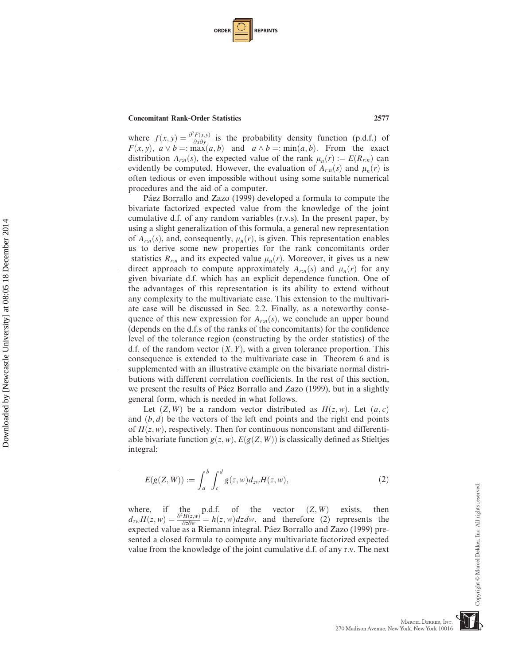| <b>ORDER</b> |  | <b>REPRINTS</b> |
|--------------|--|-----------------|
|--------------|--|-----------------|

10

20

Downloaded by [Newcastle University] at 08:05 18 December 2014 Downloaded by [Newcastle University] at 08:05 18 December 2014

30

40

where  $f(x, y) = \frac{\partial^2 F(x, y)}{\partial x \partial y}$  is the probability density function (p.d.f.) of  $F(x, y) = a \vee b = \max(a, b)$  and  $a \wedge b = \min(a, b)$ . From the exact  $F(x, y)$ ,  $a \lor b =: \max(a, b)$  and  $a \land b =: \min(a, b)$ . From the exact distribution  $A_{r:n}(s)$ , the expected value of the rank  $\mu_n(r) := E(R_{r:n})$  can evidently be computed. However, the evaluation of  $A_{r:n}(s)$  and  $\mu_n(r)$  is often tedious or even impossible without using some suitable numerical procedures and the aid of a computer.

Páez Borrallo and Zazo (1999) developed a formula to compute the bivariate factorized expected value from the knowledge of the joint cumulative d.f. of any random variables (r.v.s). In the present paper, by using a slight generalization of this formula, a general new representation of  $A_{r,n}(s)$ , and, consequently,  $\mu_n(r)$ , is given. This representation enables us to derive some new properties for the rank concomitants order statistics  $R_{r:n}$  and its expected value  $\mu_n(r)$ . Moreover, it gives us a new direct approach to compute approximately  $A_{r,n}(s)$  and  $\mu_n(r)$  for any given bivariate d.f. which has an explicit dependence function. One of the advantages of this representation is its ability to extend without any complexity to the multivariate case. This extension to the multivariate case will be discussed in Sec. 2.2. Finally, as a noteworthy consequence of this new expression for  $A_{r,n}(s)$ , we conclude an upper bound (depends on the d.f.s of the ranks of the concomitants) for the confidence level of the tolerance region (constructing by the order statistics) of the d.f. of the random vector  $(X, Y)$ , with a given tolerance proportion. This consequence is extended to the multivariate case in Theorem 6 and is supplemented with an illustrative example on the bivariate normal distributions with different correlation coefficients. In the rest of this section, we present the results of Páez Borrallo and Zazo (1999), but in a slightly general form, which is needed in what follows.

Let  $(Z, W)$  be a random vector distributed as  $H(z, w)$ . Let  $(a, c)$ and  $(b, d)$  be the vectors of the left end points and the right end points of  $H(z, w)$ , respectively. Then for continuous nonconstant and differentiable bivariate function  $g(z, w)$ ,  $E(g(Z, W))$  is classically defined as Stieltjes integral:

$$
E(g(Z, W)) := \int_{a}^{b} \int_{c}^{d} g(z, w) d_{zw} H(z, w), \qquad (2)
$$

where, if the p.d.f. of the vector  $(Z, W)$  exists, then<br>d  $H(z, w) = \frac{\partial^2 H(z, w)}{\partial z} = h(z, w) dz dw$  and therefore (2) represents the  $d_{zw}H(z, w) = \frac{\partial^2 H(z, w)}{\partial z \partial w} = h(z, w) dz dw$ , and therefore (2) represents the expected value as a Riemann integral. Páez Borrallo and Zazo (1999) preexpected value as a Riemann integral. Páez Borrallo and Zazo (1999) presented a closed formula to compute any multivariate factorized expected value from the knowledge of the joint cumulative d.f. of any r.v. The next

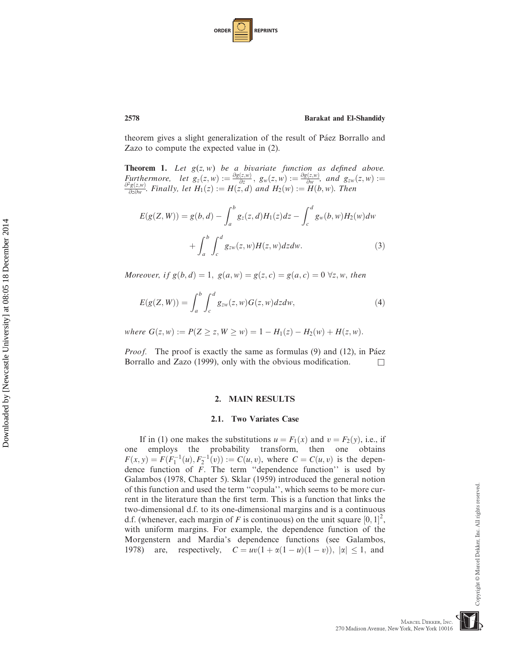| <b>ORDER</b> |  | <b>REPRINTS</b> |
|--------------|--|-----------------|
|--------------|--|-----------------|

theorem gives a slight generalization of the result of Páez Borrallo and Zazo to compute the expected value in (2).

**Theorem 1.** Let  $g(z, w)$  be a bivariate function as defined above. Furthermore, let  $g_z(z, w) := \frac{\partial g(z, w)}{\partial z}$ ,  $g_w(z, w) := \frac{\partial g(z, w)}{\partial w}$ , and  $g_{zw}(z, w) := \frac{\partial^2 g(z, w)}{\partial z \partial w}$ . Finally, let  $H_1(z) := H(z, d)$  and  $H_2(w) := H(b, w)$ . Then

$$
E(g(Z, W)) = g(b, d) - \int_{a}^{b} g_{z}(z, d)H_{1}(z)dz - \int_{c}^{d} g_{w}(b, w)H_{2}(w)dw
$$

$$
+ \int_{a}^{b} \int_{c}^{d} g_{zw}(z, w)H(z, w)dzdw.
$$
(3)

Moreover, if  $g(b, d) = 1$ ,  $g(a, w) = g(z, c) = g(a, c) = 0 \forall z, w$ , then

$$
E(g(Z, W)) = \int_{a}^{b} \int_{c}^{d} g_{zw}(z, w) G(z, w) dz dw,
$$
\n
$$
(4)
$$

where  $G(z, w) := P(Z \ge z, W \ge w) = 1 - H_1(z) - H_2(w) + H(z, w)$ .

*Proof.* The proof is exactly the same as formulas  $(9)$  and  $(12)$ , in Páez Borrallo and Zazo (1999), only with the obvious modification.  $\Box$ 

#### 2. MAIN RESULTS

#### 2.1. Two Variates Case

If in (1) one makes the substitutions  $u = F_1(x)$  and  $v = F_2(y)$ , i.e., if one employs the probability transform, then one obtains  $F(x, y) = F(F_1^{-1}(u), F_2^{-1}(v)) := C(u, v)$ , where  $C = C(u, v)$  is the dependence function of F. The term "dependence function" is used by Galambos (1978, Chapter 5). Sklar (1959) introduced the general notion of this function and used the term ''copula'', which seems to be more current in the literature than the first term. This is a function that links the two-dimensional d.f. to its one-dimensional margins and is a continuous d.f. (whenever, each margin of F is continuous) on the unit square  $[0, 1]^2$ ; with uniform margins. For example, the dependence function of the with uniform margins. For example, the dependence function of the Morgenstern and Mardia's dependence functions (see Galambos, 1978) are, respectively,  $C = uv(1 + \alpha(1 - u)(1 - v))$ ,  $|\alpha| \le 1$ , and

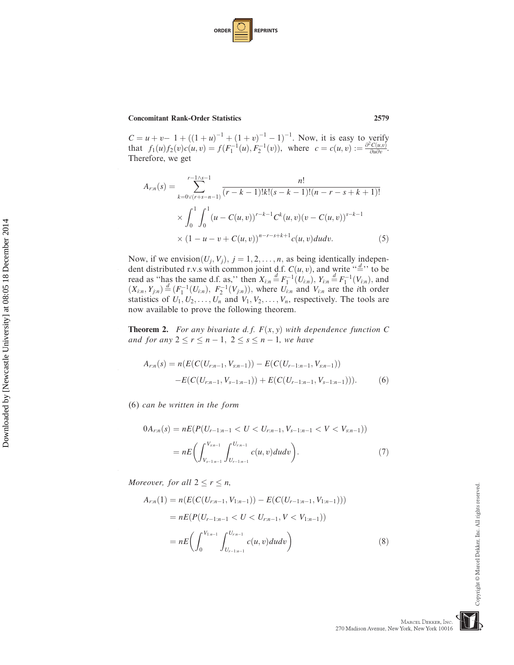| <b>ORDER</b> |  | <b>REPRINTS</b> |
|--------------|--|-----------------|
|--------------|--|-----------------|

10

20

30

40

 $C = u + v - 1 + ((1 + u)^{-1} + (1 + v)^{-1} - 1)^{-1}$ . Now, it is easy to verify<br>that  $f_1(u) f_2(v) c(u, v) - f(F^{-1}(u) - F^{-1}(v))$  where  $c = c(u, v) - \frac{\partial^2 C(u, v)}{\partial v}$ that  $f_1(u) f_2(v) c(u, v) = f(F_1^{-1}(u), F_2^{-1}(v)),$  where  $c = c(u, v) := \frac{\partial^2 C(u, v)}{\partial u \partial v}$ .<br>Therefore we get Therefore, we get

$$
A_{r:n}(s) = \sum_{k=0\vee (r+s-n-1)}^{r-1\wedge s-1} \frac{n!}{(r-k-1)!k!(s-k-1)!(n-r-s+k+1)!}
$$
  
\$\times \int\_0^1 \int\_0^1 (u-C(u,v))^{r-k-1} C^k(u,v) (v-C(u,v))^{s-k-1}\$  
\$\times (1-u-v+C(u,v))^{n-r-s+k+1}c(u,v)dudv.\$

Now, if we envision $(U_j, V_j)$ ,  $j = 1, 2, ..., n$ , as being identically independent distributed r y s with common joint d f  $C(u, v)$  and write " $\frac{d}{dx}$ " to be dent distributed r.v.s with common joint d.f.  $C(u, v)$ , and write '', to be read as ''has the same d f as'' then  $X = \frac{d}{dx} F^{-1}(U, \cdot)$ ,  $Y = \frac{d}{dx} F^{-1}(U, \cdot)$  and read as "has the same d.f. as," then  $X_{i:n} \stackrel{d}{=} F_1^{-1}(U_{i:n})$ ,  $Y_{i:n} \stackrel{d}{=} F_1^{-1}(V_{i:n})$ , and  $(Y_i - Y_{i-1}) \stackrel{d}{=} (F_1^{-1}(U_{i-1}) - F_1^{-1}(V_{i-1}))$  where  $U_i$  and  $V_i$  are the ith order  $(X_{i:n}, Y_{j:n}) \stackrel{d}{=} (F_1^{-1}(U_{i:n}), F_2^{-1}(V_{j:n}))$ , where  $U_{i:n}$  and  $V_{i:n}$  are the *i*th order statistics of  $U_1, U_2, \ldots, U_n$  and  $V_1, V_2, \ldots, V_n$ , respectively. The tools are now available to prove the following theorem.

**Theorem 2.** For any bivariate d.f.  $F(x, y)$  with dependence function C and for any  $2 \le r \le n - 1$ ,  $2 \le s \le n - 1$ , we have

$$
A_{r:n}(s) = n(E(C(U_{r:n-1}, V_{s:n-1})) - E(C(U_{r-1:n-1}, V_{s:n-1})) - E(C(U_{r:n-1}, V_{s-1:n-1})) + E(C(U_{r-1:n-1}, V_{s-1:n-1}))).
$$
\n(6)

(6) can be written in the form

$$
0A_{r:n}(s) = nE(P(U_{r-1:n-1} < U < U_{r:n-1}, V_{s-1:n-1} < V < V_{s:n-1}))
$$
\n
$$
= nE\bigg(\int_{V_{s-1:n-1}}^{V_{sn-1}} \int_{U_{r-1:n-1}}^{U_{rn-1}} c(u,v) du dv\bigg). \tag{7}
$$

Moreover, for all  $2 \le r \le n$ ,

$$
A_{r:n}(1) = n(E(C(U_{r:n-1}, V_{1:n-1})) - E(C(U_{r-1:n-1}, V_{1:n-1})))
$$
  
= 
$$
nE(P(U_{r-1:n-1} < U < U_{r:n-1}, V < V_{1:n-1}))
$$
  
= 
$$
nE\left(\int_0^{V_{1:n-1}} \int_{U_{r-1:n-1}}^{U_{r:n-1}} c(u, v) du dv\right)
$$
 (8)

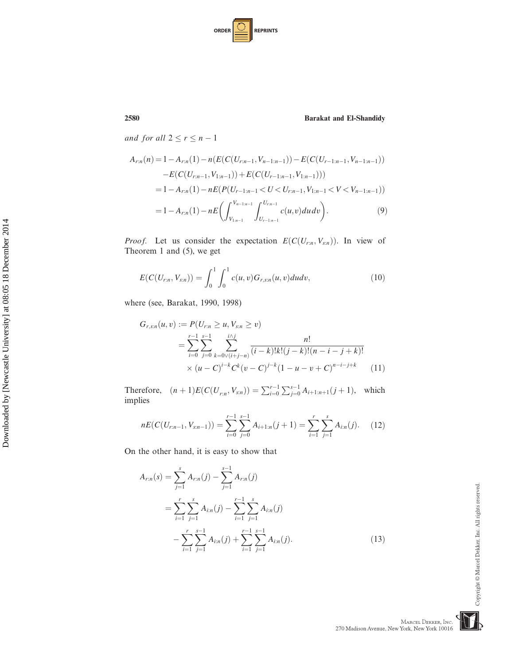| <b>ORDER</b> |  | <b>REPRINTS</b> |
|--------------|--|-----------------|
|--------------|--|-----------------|

and for all  $2 \le r \le n - 1$ 

$$
A_{r:n}(n) = 1 - A_{r:n}(1) - n(E(C(U_{r:n-1}, V_{n-1:n-1})) - E(C(U_{r-1:n-1}, V_{n-1:n-1}))
$$
  
\n
$$
-E(C(U_{r:n-1}, V_{1:n-1})) + E(C(U_{r-1:n-1}, V_{1:n-1})))
$$
  
\n
$$
= 1 - A_{r:n}(1) - nE(P(U_{r-1:n-1} < U < U_{r:n-1}, V_{1:n-1} < V < V_{n-1:n-1}))
$$
  
\n
$$
= 1 - A_{r:n}(1) - nE\left(\int_{V_{1:n-1}}^{V_{n-1:n-1}} \int_{U_{r-1:n-1}}^{U_{r:n-1}} c(u,v) du dv\right).
$$
\n(9)

*Proof.* Let us consider the expectation  $E(C(U_{r:n}, V_{s:n}))$ . In view of Theorem 1 and (5), we get

$$
E(C(U_{r:n}, V_{s:n})) = \int_0^1 \int_0^1 c(u, v) G_{r,s:n}(u, v) du dv,
$$
\n(10)

where (see, Barakat, 1990, 1998)

$$
G_{r,s:n}(u,v) := P(U_{r,n} \ge u, V_{s:n} \ge v)
$$
  
= 
$$
\sum_{i=0}^{r-1} \sum_{j=0}^{s-1} \sum_{k=0 \vee (i+j-n)}^{i \wedge j} \frac{n!}{(i-k)!k!(j-k)!(n-i-j+k)!}
$$
  
×  $(u-C)^{i-k}C^{k}(v-C)^{j-k}(1-u-v+C)^{n-i-j+k}$  (11)

Therefore,  $(n+1)E(C(U_{r;n}, V_{s:n})) = \sum_{i=0}^{r-1} \sum_{j=0}^{s-1} A_{i+1:n+1}(j+1)$ , which implies

$$
nE(C(U_{r:n-1}, V_{s:n-1})) = \sum_{i=0}^{r-1} \sum_{j=0}^{s-1} A_{i+1:n}(j+1) = \sum_{i=1}^{r} \sum_{j=1}^{s} A_{i:n}(j).
$$
 (12)

On the other hand, it is easy to show that

$$
A_{r:n}(s) = \sum_{j=1}^{s} A_{r:n}(j) - \sum_{j=1}^{s-1} A_{r:n}(j)
$$
  
= 
$$
\sum_{i=1}^{r} \sum_{j=1}^{s} A_{i:n}(j) - \sum_{i=1}^{r-1} \sum_{j=1}^{s} A_{i:n}(j)
$$
  
- 
$$
\sum_{i=1}^{r} \sum_{j=1}^{s-1} A_{i:n}(j) + \sum_{i=1}^{r-1} \sum_{j=1}^{s-1} A_{i:n}(j).
$$
 (13)

 $\label{eq:MARCEL} \begin{minipage}{0.9\linewidth} \textbf{M} \textbf{A} \textbf{R} \textbf{C} \textbf{E} \textbf{L} \textbf{D} \textbf{E} \textbf{K} \textbf{K} \textbf{R}, \textbf{I} \textbf{N} \textbf{C}. \end{minipage}$  <br> 270 Madison Avenue, New York, New York 10016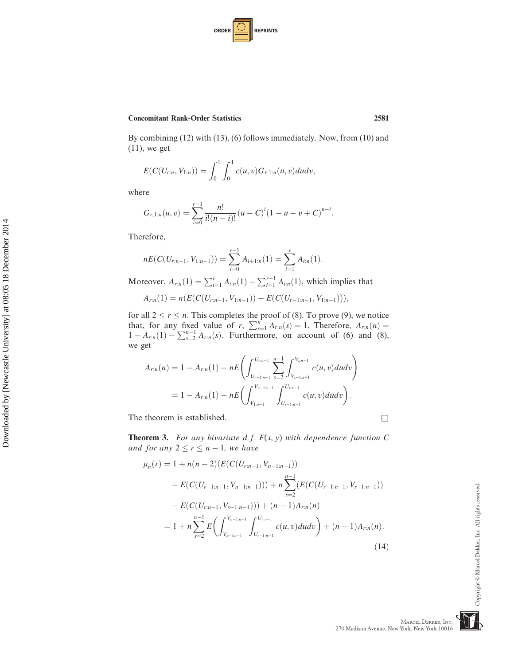| <b>ORDER</b> |  | <b>REPRINTS</b> |
|--------------|--|-----------------|
|--------------|--|-----------------|

By combining (12) with (13), (6) follows immediately. Now, from (10) and  $(11)$ , we get

$$
E(C(U_{r:n}, V_{1:n})) = \int_0^1 \int_0^1 c(u, v) G_{r,1:n}(u, v) du dv,
$$

where

10

20

30

40

$$
G_{r,1:n}(u,v)=\sum_{i=0}^{r-1}\frac{n!}{i!(n-i)!}(u-C)^{i}(1-u-v+C)^{n-i}.
$$

Therefore,

$$
nE(C(U_{r:n-1}, V_{1:n-1})) = \sum_{i=0}^{r-1} A_{i+1:n}(1) = \sum_{i=1}^{r} A_{i:n}(1).
$$

Moreover,  $A_{r,n}(1) = \sum_{i=1}^{r} A_{i:n}(1) - \sum_{i=1}^{r-1} A_{i:n}(1)$ , which implies that

$$
A_{r:n}(1) = n(E(C(U_{r:n-1}, V_{1:n-1})) - E(C(U_{r-1:n-1}, V_{1:n-1}))),
$$

for all  $2 \le r \le n$ . This completes the proof of (8). To prove (9), we notice<br>that, for any fixed value of r,  $\sum_{s=1}^{n} A_{rn}(s) = 1$ . Therefore,  $A_{rn}(n) =$ <br> $1 - A$  (1)  $\sum_{n=1}^{n-1} A$  (c) Eurthermore, on account of (6) and (8)  $1 - A_{r:n}(1) - \sum_{s=2}^{n-1} A_{r:n}(s)$ . Furthermore, on account of (6) and (8), we get

$$
A_{r:n}(n) = 1 - A_{r:n}(1) - nE\left(\int_{U_{r-1:n-1}}^{U_{r:n-1}} \sum_{s=2}^{n-1} \int_{V_{s-1:n-1}}^{V_{s:n-1}} c(u,v) du dv\right)
$$
  
= 1 - A\_{r:n}(1) - nE\left(\int\_{V\_{1:n-1}}^{V\_{n-1:n-1}} \int\_{U\_{r-1:n-1}}^{U\_{r:n-1}} c(u,v) du dv\right).

The theorem is established.  $\Box$ 

**Theorem 3.** For any bivariate d.f.  $F(x, y)$  with dependence function C and for any  $2 \le r \le n - 1$ , we have

$$
\mu_n(r) = 1 + n(n-2)(E(C(U_{r:n-1}, V_{n-1:n-1}))
$$
  
\n
$$
- E(C(U_{r-1:n-1}, V_{n-1:n-1}))) + n \sum_{s=2}^{n-1} (E(C(U_{r-1:n-1}, V_{s-1:n-1}))
$$
  
\n
$$
- E(C(U_{r:n-1}, V_{s-1:n-1}))) + (n-1)A_{r:n}(n)
$$
  
\n
$$
= 1 + n \sum_{s=2}^{n-1} E\left(\int_{V_{s-1:n-1}}^{V_{n-1:n-1}} \int_{U_{r-1:n-1}}^{U_{r:n-1}} c(u, v) du dv\right) + (n-1)A_{r:n}(n).
$$
\n(14)

MARCEL DEKKER, INC.

270 Madison Avenue, New York, New York 10016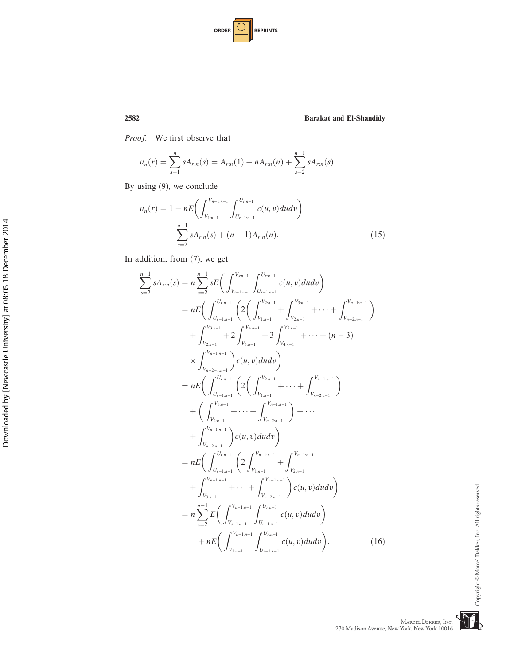| <b>ORDER</b> |  | <b>REPRINTS</b> |
|--------------|--|-----------------|
|--------------|--|-----------------|

Proof. We first observe that

$$
\mu_n(r) = \sum_{s=1}^n s A_{r:n}(s) = A_{r:n}(1) + n A_{r:n}(n) + \sum_{s=2}^{n-1} s A_{r:n}(s).
$$

By using (9), we conclude

$$
\mu_n(r) = 1 - nE\left(\int_{V_{1:n-1}}^{V_{n-1:n-1}} \int_{U_{r-1:n-1}}^{U_{rn-1}} c(u, v) du dv\right) + \sum_{s=2}^{n-1} s A_{r:n}(s) + (n-1) A_{r:n}(n).
$$
\n(15)

In addition, from (7), we get

 $\sum_{n=1}^{n-1}$ 

 $s=2$ 

$$
sA_{r:n}(s) = n \sum_{s=2}^{n-1} sE\left(\int_{V_{s-1:n-1}}^{V_{s:n-1}} \int_{U_{r-1:n-1}}^{U_{r:n-1}} c(u,v) du dv\right)
$$
  
\n
$$
= nE\left(\int_{U_{r-1:n-1}}^{U_{r:n-1}} \left(2\left(\int_{V_{1:n-1}}^{V_{2:n-1}} + \int_{V_{2:n-1}}^{V_{3:n-1}} + \cdots + \int_{V_{n-2:n-1}}^{V_{n-1:n-1}}\right) \right) + \int_{V_{2:n-1}}^{V_{3:n-1}} + 2\int_{V_{3:n-1}}^{V_{4:n-1}} + 3\int_{V_{4:n-1}}^{V_{5:n-1}} + \cdots + (n-3)
$$
  
\n
$$
\times \int_{V_{n-2-1:n-1}}^{V_{n-1:n-1}} c(u,v) du dv\right)
$$
  
\n
$$
= nE\left(\int_{U_{r-1:n-1}}^{U_{r:n-1}} \left(2\left(\int_{V_{1:n-1}}^{V_{2:n-1}} + \cdots + \int_{V_{n-2:n-1}}^{V_{n-1:n-1}}\right) \right) + \cdots + \int_{V_{n-2:n-1}}^{V_{n-1:n-1}} c(u,v) du dv\right)
$$
  
\n
$$
= nE\left(\int_{U_{r-1:n-1}}^{U_{r:n-1}} \left(2\int_{V_{1:n-1}}^{V_{n-1:n-1}} + \int_{V_{2:n-1}}^{V_{n-1:n-1}}\right) + \cdots + \int_{V_{3:n-1}}^{V_{n-1:n-1}} c(u,v) du dv\right)
$$
  
\n
$$
= n\sum_{s=2}^{n-1} E\left(\int_{V_{r-1:n-1}}^{V_{r-1:n-1}} \left(2\int_{V_{1:n-1}}^{V_{n-1:n-1}} - \int_{V_{2:n-1}}^{V_{n-1:n-1}}\right) c(u,v) du dv\right)
$$
  
\n
$$
= n\sum_{s=2}^{n-1} E\left(\int_{V_{s-1:n-1}}^{V_{n-1:n-1}} \int_{U_{r-1:n-1}}^{U_{r:n-1}} c(u,v) du dv\right).
$$
 (16)

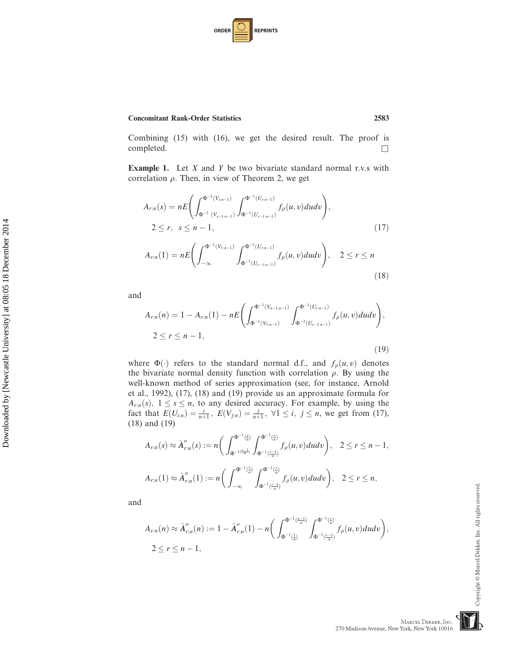

Combining (15) with (16), we get the desired result. The proof is  $\Box$ 

**Example 1.** Let  $X$  and  $Y$  be two bivariate standard normal r.v.s with correlation  $\rho$ . Then, in view of Theorem 2, we get

$$
A_{r:n}(s) = nE\left(\int_{\Phi^{-1}(V_{s,n-1})}^{\Phi^{-1}(V_{s,n-1})} \int_{\Phi^{-1}(U_{r-1:n-1})}^{\Phi^{-1}(U_{r,n-1})} f_{\rho}(u,v) du dv\right),
$$
  
2 \le r,  $s \le n - 1$ , (17)

$$
A_{r:n}(1) = nE\left(\int_{-\infty}^{\Phi^{-1}(V_{1:n-1})} \int_{\Phi^{-1}(U_{r-1:n-1})}^{\Phi^{-1}(U_{r:n-1})} f_{\rho}(u,v) du dv\right), \quad 2 \le r \le n
$$
\n(18)

and

10

20

30

40

$$
A_{r:n}(n) = 1 - A_{r:n}(1) - nE\left(\int_{\Phi^{-1}(V_{n-1:n-1})}^{\Phi^{-1}(V_{n-1:n-1})} \int_{\Phi^{-1}(U_{r-1:n-1})}^{\Phi^{-1}(U_{r:n-1})} f_{\rho}(u,v) du dv\right),
$$
  
2 \le r \le n - 1, (19)

where  $\Phi(\cdot)$  refers to the standard normal d.f., and  $f_{\rho}(u, v)$  denotes<br>the bivariate normal density function with correlation a By using the the bivariate normal density function with correlation  $\rho$ . By using the well-known method of series approximation (see, for instance, Arnold et al., 1992), (17), (18) and (19) provide us an approximate formula for  $A_{r,n}(s)$ ,  $1 \leq s \leq n$ , to any desired accuracy. For example, by using the fact that  $F(U_+) = \frac{i}{\sqrt{2}} F(V_+) = \frac{i}{\sqrt{2}} \quad \forall 1 \leq i \leq n$  we get from (17) fact that  $E(U_{i:n}) = \frac{i}{n+1}$ ,  $E(V_{j:n}) = \frac{j}{n+1}$ ,  $\forall 1 \le i, j \le n$ , we get from (17), (18) and (19) (18) and (19)

$$
A_{r:n}(s) \approx \hat{A}_{r:n}^o(s) := n \bigg( \int_{\Phi^{-1}(\frac{\epsilon}{n})}^{\Phi^{-1}(\frac{\epsilon}{n})} \int_{\Phi^{-1}(\frac{r-1}{n})}^{\Phi^{-1}(\frac{\epsilon}{n})} f_{\rho}(u,v) du dv \bigg), \quad 2 \le r \le n-1,
$$
  

$$
A_{r:n}(1) \approx \hat{A}_{r:n}^o(1) := n \bigg( \int_{-\infty}^{\Phi^{-1}(\frac{1}{n})} \int_{\Phi^{-1}(\frac{r-1}{n})}^{\Phi^{-1}(\frac{r}{n})} f_{\rho}(u,v) du dv \bigg), \quad 2 \le r \le n,
$$

and

$$
A_{r:n}(n) \approx \hat{A}_{r:n}^o(n) := 1 - \hat{A}_{r:n}^o(1) - n \bigg( \int_{\Phi^{-1}(\frac{1}{n})}^{\Phi^{-1}(\frac{n-1}{n})} \int_{\Phi^{-1}(\frac{r-1}{n})}^{\Phi^{-1}(\frac{r}{n})} f_\rho(u,v) du dv \bigg),
$$
  
2 \le r \le n - 1,

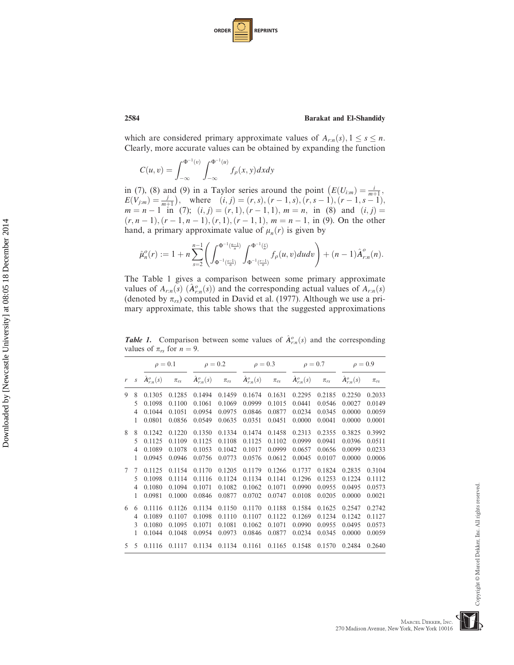| <b>ORDER</b> |  | <b>REPRINTS</b> |
|--------------|--|-----------------|
|--------------|--|-----------------|

which are considered primary approximate values of  $A_{r:n}(s)$ ,  $1 \leq s \leq n$ . Clearly, more accurate values can be obtained by expanding the function

$$
C(u,v) = \int_{-\infty}^{\Phi^{-1}(v)} \int_{-\infty}^{\Phi^{-1}(u)} f_{\rho}(x,y) dx dy
$$

in (7), (8) and (9) in a Taylor series around the point  $(E(U_{i:m}) = \frac{i}{m+1},$ <br>  $E(V_{i,j}) = \frac{i}{m+1}$ , where  $(i, j) = (r, s) (r-1, s) (r, s-1) (r-1, s-1)$  $E(V_{j:m}) = \frac{j}{m+1}$ <br>  $m - n - 1$  in ), where  $(i, j) = (r, s), (r - 1, s), (r, s - 1), (r - 1, s - 1)$ <br>(7):  $(i, j) = (r, 1), (r - 1, 1), m - n,$  in (8) and  $(i, j)$  $m = n - 1$  in (7);  $(i, j) = (r, 1), (r - 1, 1), m = n$ , in (8) and  $(i, j) =$  $(r, n - 1), (r - 1, n - 1), (r, 1), (r - 1, 1), m = n - 1$ , in (9). On the other hand, a primary approximate value of  $\mu_n(r)$  is given by

$$
\hat{\mu}_n^o(r) := 1 + n \sum_{s=2}^{n-1} \left( \int_{\Phi^{-1}(\frac{s-1}{n})}^{\Phi^{-1}(\frac{n}{n})} \int_{\Phi^{-1}(\frac{r-1}{n})}^{\Phi^{-1}(\frac{r}{n})} f_\rho(u,v) du dv \right) + (n-1) \hat{A}_{r;n}^o(n).
$$

The Table 1 gives a comparison between some primary approximate values of  $A_{r,n}(s)$   $(\hat{A}_{r,n}^o(s))$  and the corresponding actual values of  $A_{r,n}(s)$ <br>
(denoted by  $\pi$ ) computed in David et al. (1977). Although we use a pri-(denoted by  $\pi_{rs}$ ) computed in David et al. (1977). Although we use a primary approximate, this table shows that the suggested approximations

**Table 1.** Comparison between some values of  $\hat{A}^o_{r,n}(s)$  and the corresponding values of  $\pi$ , for  $n = 9$ 

values of  $\pi_{rs}$  for  $n = 9$ .<br> $\rho = 0.1$  $\rho = 0.1$   $\rho = 0.2$   $\rho = 0.3$   $\rho = 0.7$   $\rho = 0.9$  $r$  s  $\hat{A}^o_{r:n}(s)$   $\pi_{rs}$   $\hat{A}^o_{r}$  $A^o_{rn}(s)$   $\pi_{rs}$  $A^o_{r:n}(s)$   $\pi_{rs}$  $A^o_{r:n}(s)$   $\pi_{rs}$  $\hat{A}^{\scriptscriptstyle o}_{\scriptscriptstyle r:n}(s) = \pi_{\scriptscriptstyle r s}$ 9 8 0.1305 0.1285 0.1494 0.1459 0.1674 0.1631 0.2295 0.2185 0.2250 0.2033 5 0.1098 0.1100 0.1061 0.1069 0.0999 0.1015 0.0441 0.0546 0.0027 0.0149 4 0.1044 0.1051 0.0954 0.0975 0.0846 0.0877 0.0234 0.0345 0.0000 0.0059 1 0.0801 0.0856 0.0549 0.0635 0.0351 0.0451 0.0000 0.0041 0.0000 0.0001 8 8 0.1242 0.1220 0.1350 0.1334 0.1474 0.1458 0.2313 0.2355 0.3825 0.3992 5 0.1125 0.1109 0.1125 0.1108 0.1125 0.1102 0.0999 0.0941 0.0396 0.0511 4 0.1089 0.1078 0.1053 0.1042 0.1017 0.0999 0.0657 0.0656 0.0099 0.0233 1 0.0945 0.0946 0.0756 0.0773 0.0576 0.0612 0.0045 0.0107 0.0000 0.0006 7 7 0.1125 0.1154 0.1170 0.1205 0.1179 0.1266 0.1737 0.1824 0.2835 0.3104 5 0.1098 0.1114 0.1116 0.1124 0.1134 0.1141 0.1296 0.1253 0.1224 0.1112 4 0.1080 0.1094 0.1071 0.1082 0.1062 0.1071 0.0990 0.0955 0.0495 0.0573 1 0.0981 0.1000 0.0846 0.0877 0.0702 0.0747 0.0108 0.0205 0.0000 0.0021 6 6 0.1116 0.1126 0.1134 0.1150 0.1170 0.1188 0.1584 0.1625 0.2547 0.2742 4 0.1089 0.1107 0.1098 0.1110 0.1107 0.1122 0.1269 0.1234 0.1242 0.1127 3 0.1080 0.1095 0.1071 0.1081 0.1062 0.1071 0.0990 0.0955 0.0495 0.0573 1 0.1044 0.1048 0.0954 0.0973 0.0846 0.0877 0.0234 0.0345 0.0000 0.0059 5 5 0.1116 0.1117 0.1134 0.1134 0.1161 0.1165 0.1548 0.1570 0.2484 0.2640

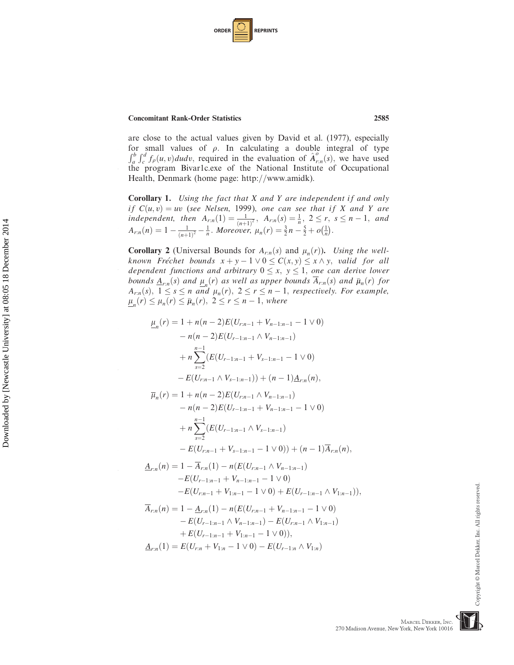| <b>ORDER</b> |  | <b>REPRINTS</b> |
|--------------|--|-----------------|
|--------------|--|-----------------|

10

 $\overline{\phantom{a}}$ 

30

40

are close to the actual values given by David et al. (1977), especially for small values of  $\rho$ . In calculating a double integral of type  $\int_a^b \int_c^d f_\rho(u, v) du dv$ , required in the evaluation of  $\hat{A}^o_{r,n}(s)$ , we have used<br>the program Bivarle eve of the National Institute of Occupational the program Bivar1c.exe of the National Institute of Occupational Health, Denmark (home page: http://www.amidk).

Corollary 1. Using the fact that X and Y are independent if and only if  $C(u, v) = uv$  (see Nelsen, 1999), one can see that if X and Y are<br>independent then  $A(1) = \frac{1}{2} A(s) = \frac{1}{2} 2 \le r \le n-1$  and independent, then  $A_{rn}(1) = \frac{1}{(n+1)^2}$ ,  $A_{rn}(s) = \frac{1}{n}$ ,  $2 \le r$ ,  $s \le n-1$ , and  $A_{rn}(r) = 1 - \frac{1}{(n+1)^2}$ ,  $M_{QCDM2}$ ,  $u_r(r) = \frac{3}{2}n - \frac{5}{2} + o(1)$  $A_{r,n}(n) = 1 - \frac{1}{(n+1)^2} - \frac{1}{n}$ . Moreover,  $\mu_n(r) = \frac{3}{2}n - \frac{5}{2} + o(\frac{1}{n})$ .

**Corollary 2** (Universal Bounds for  $A_{r,n}(s)$  and  $\mu_n(r)$ ). Using the wellknown Fréchet bounds  $x + y - 1 \vee 0 \le C(x, y) \le x \wedge y$ , valid for all dependent functions and arbitrary  $0 \le x, y \le 1$ , one can derive lower bounds  $\underline{A}_{r:n}(s)$  and  $\mu_n(r)$  as well as upper bounds  $\overline{A}_{r:n}(s)$  and  $\overline{\mu}_n(r)$  for  $A_{r,n}(s), 1 \leq s \leq n$  and  $\mu_n(r), 2 \leq r \leq n-1$ , respectively. For example,  $\underline{\mu}_n(r) \leq \mu_n(r) \leq \overline{\mu}_n(r), \ 2 \leq r \leq n-1,$  where

$$
\underline{\mu}_n(r) = 1 + n(n-2)E(U_{r:n-1} + V_{n-1:n-1} - 1 \vee 0)
$$
  
\n
$$
- n(n-2)E(U_{r-1:n-1} \wedge V_{n-1:n-1})
$$
  
\n
$$
+ n \sum_{s=2}^{n-1} (E(U_{r-1:n-1} + V_{s-1:n-1} - 1 \vee 0)
$$
  
\n
$$
- E(U_{r:n-1} \wedge V_{s-1:n-1})) + (n-1) \underline{A}_{r:n}(n),
$$
  
\n
$$
\overline{\mu}_n(r) = 1 + n(n-2)E(U_{r:n-1} \wedge V_{n-1:n-1})
$$
  
\n
$$
- n(n-2)E(U_{r-1:n-1} + V_{n-1:n-1} - 1 \vee 0)
$$
  
\n
$$
+ n \sum_{s=2}^{n-1} (E(U_{r-1:n-1} \wedge V_{s-1:n-1})
$$
  
\n
$$
- E(U_{r:n-1} + V_{s-1:n-1} - 1 \vee 0)) + (n-1) \overline{A}_{r:n}(n),
$$
  
\n
$$
\underline{A}_{r:n}(n) = 1 - \overline{A}_{r:n}(1) - n(E(U_{r:n-1} \wedge V_{n-1:n-1})
$$
  
\n
$$
- E(U_{r-1:n-1} + V_{n-1:n-1} - 1 \vee 0)
$$
  
\n
$$
- E(U_{r:n-1} + V_{1:n-1} - 1 \vee 0) + E(U_{r-1:n-1} \wedge V_{1:n-1})),
$$
  
\n
$$
\overline{A}_{r:n}(n) = 1 - \underline{A}_{r:n}(1) - n(E(U_{r:n-1} + V_{n-1:n-1} - 1 \vee 0)
$$
  
\n
$$
- E(U_{r-1:n-1} \wedge V_{n-1:n-1}) - E(U_{r:n-1} \wedge V_{1:n-1})
$$

+
$$
E(U_{r-1:n-1} + V_{1:n-1} - 1 \vee 0)
$$
,  
\n
$$
\underline{A}_{r:n}(1) = E(U_{r:n} + V_{1:n} - 1 \vee 0) - E(U_{r-1:n} \wedge V_{1:n})
$$

MARCEL DEKKER, INC.

270 Madison Avenue, New York, New York 10016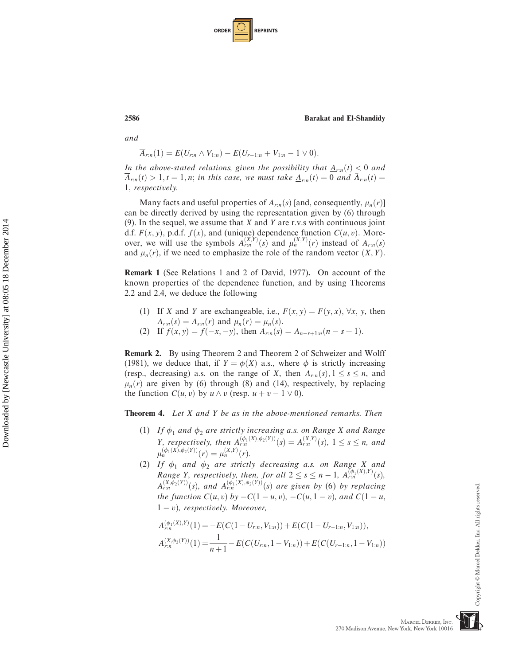| <b>ORDER</b> |  | <b>REPRINTS</b> |
|--------------|--|-----------------|
|--------------|--|-----------------|

and

$$
\overline{A}_{r:n}(1) = E(U_{r:n} \wedge V_{1:n}) - E(U_{r-1:n} + V_{1:n} - 1 \vee 0).
$$

In the above-stated relations, given the possibility that  $\underline{A}_{r,n}(t) < 0$  and  $\overline{A}_{r:n}(t) > 1, t = 1, n;$  in this case, we must take  $\underline{A}_{r:n}(t) = 0$  and  $\overline{A}_{r:n}(t) = 0$ 1; respectively.

Many facts and useful properties of  $A_{r,n}(s)$  [and, consequently,  $\mu_n(r)$ ] can be directly derived by using the representation given by (6) through (9). In the sequel, we assume that  $X$  and  $Y$  are r.v.s with continuous joint d.f.  $F(x, y)$ , p.d.f.  $f(x)$ , and (unique) dependence function  $C(u, v)$ . More-<br>over we will use the symbols  $A^{(X,Y)}(s)$  and  $u^{(X,Y)}(r)$  instead of  $A^{(s)}(s)$ over, we will use the symbols  $\hat{A}_{r,n}^{(X,Y)}(s)$  and  $\mu_n^{(X,Y)}(r)$  instead of  $A_{r,n}(s)$ <br>and  $\mu_n(r)$  if we need to emphasize the role of the random vector  $(X, Y)$ and  $\mu_n(r)$ , if we need to emphasize the role of the random vector  $(X, Y)$ .

Remark 1 (See Relations 1 and 2 of David, 1977). On account of the known properties of the dependence function, and by using Theorems 2.2 and 2.4, we deduce the following

- (1) If X and Y are exchangeable, i.e.,  $F(x, y) = F(y, x)$ ,  $\forall x, y$ , then  $A_{r:n}(s) = A_{s:n}(r)$  and  $\mu_n(r) = \mu_n(s)$ .
- (2) If  $f(x, y) = f(-x, -y)$ , then  $A_{r,n}(s) = A_{n-r+1:n}(n s + 1)$ .

Remark 2. By using Theorem 2 and Theorem 2 of Schweizer and Wolff (1981), we deduce that, if  $Y = \phi(X)$  a.s., where  $\phi$  is strictly increasing (resp., decreasing) a.s. on the range of X, then  $A_{r,n}(s)$ ,  $1 \leq s \leq n$ , and  $\mu_n(r)$  are given by (6) through (8) and (14), respectively, by replacing the function  $C(u, v)$  by  $u \wedge v$  (resp.  $u + v - 1 \vee 0$ ).

Theorem 4. Let X and Y be as in the above-mentioned remarks. Then

- (1) If  $\phi_1$  and  $\phi_2$  are strictly increasing a.s. on Range X and Range *Y*, respectively, then  $A_{r,n}^{(\phi_1(X), \phi_2(Y))}(s) = A_{r,n}^{(X,Y)}(s)$ ,  $1 \le s \le n$ , and  $(\phi_1(X), \phi_2(Y)) \ge (X,Y)$  $\mu_n^{(\phi_1(X), \phi_2(Y))}(r) = \mu_n^{(X,Y)}(r).$
- (2) If  $\phi_1$  and  $\phi_2$  are strictly decreasing a.s. on Range X and Range Y, respectively, then, for all  $2 \leq s \leq n - 1$ ,  $A_{(r,n)}^{(\phi_1(X),Y)}(s)$ ,  $A_{(X,\phi_2(Y))}(s)$ , and  $A_{(\phi_1(X),\phi_2(Y))}(s)$  are given by (6) by vanlaging  $A_{r,n}^{(X,\phi_2(Y))}(s)$ , and  $A_{r,n}^{(\phi_1(X),\phi_2(Y))}(s)$  are given by (6) by replacing<br>the function  $C(u,v)$  by  $C(1-u,v)$ ,  $C(u,1,v)$  and  $C(1-u,v)$ the function  $C(u, v)$  by  $-C(1 - u, v)$ ,  $-C(u, 1 - v)$ , and  $C(1 - u, v)$  $1 - v$ ), respectively. Moreover,

$$
A_{r:n}^{(\phi_1(X),Y)}(1) = -E(C(1-U_{r:n}, V_{1:n})) + E(C(1-U_{r-1:n}, V_{1:n})),
$$
  
\n
$$
A_{r:n}^{(X,\phi_2(Y))}(1) = \frac{1}{n+1} - E(C(U_{r:n}, 1-V_{1:n})) + E(C(U_{r-1:n}, 1-V_{1:n}))
$$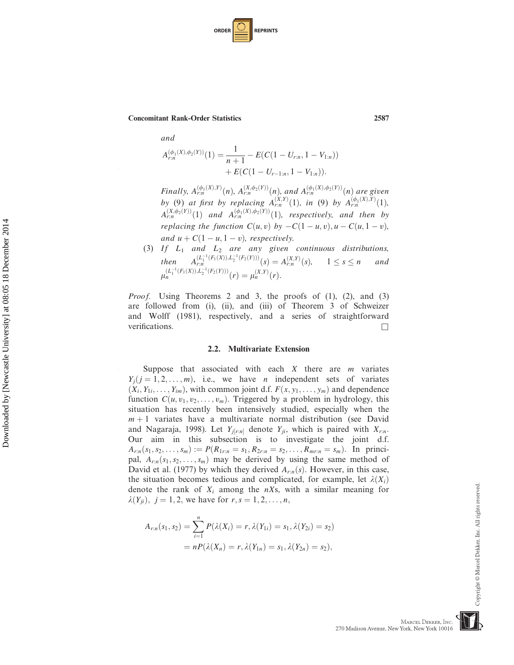| <b>ORDER</b> |  | <b>REPRINTS</b> |
|--------------|--|-----------------|
|--------------|--|-----------------|

and

10

20

30

40

$$
A_{r:n}^{(\phi_1(X), \phi_2(Y))}(1) = \frac{1}{n+1} - E(C(1 - U_{r:n}, 1 - V_{1:n})) + E(C(1 - U_{r-1:n}, 1 - V_{1:n})).
$$

Finally,  $A_{rn}^{(\phi_1(X),Y)}(n)$ ,  $A_{rn}^{(X,\phi_2(Y))}(n)$ , and  $A_{rn}^{(\phi_1(X),\phi_2(Y))}(n)$  are given by (9) at first by replacing  $A_{r,n}^{(X,Y)}(1)$ , in (9) by  $A_{r,n}^{(\phi_1(X),Y)}(1)$ ,  $A^{(X,\phi_2(Y))}_{r,n}(1)$  and  $A^{(\phi_1(X),\phi_2(Y))}_{r,n}(1)$ , respectively, and then by replacing the function  $C(u, v)$  by  $-C(1 - u, v), u - C(u, 1 - v)$ , and  $u + C(1 - u, 1 - v)$ , respectively.

(3) If  $L_1$  and  $L_2$  are any given continuous distributions, then  $A_{rn}^{(L_1^{-1}(F_1(X)), L_2^{-1}(F_2(Y)))}(s) = A_{rn}^{(X,Y)}(s)$ ,  $1 \le s \le n$  and  $(L_r^{-1}(F_1(X)), L_r^{-1}(F_2(Y)))$ m  $\mu_n^{(L_1^{-1}(F_1(X)), L_2^{-1}(F_2(Y)))}(r) = \mu_n^{(X,Y)}(r).$ 

*Proof.* Using Theorems 2 and 3, the proofs of (1), (2), and (3) are followed from (i), (ii), and (iii) of Theorem 3 of Schweizer and Wolff (1981), respectively, and a series of straightforward verifications.  $\Box$ 

#### 2.2. Multivariate Extension

Suppose that associated with each  $X$  there are  $m$  variates  $Y_i$  $(j = 1, 2, \ldots, m)$ , i.e., we have *n* independent sets of variates  $(X_i, Y_{1i}, \ldots, Y_{im})$ , with common joint d.f.  $F(x, y_1, \ldots, y_m)$  and dependence function  $C(u, v_1, v_2, \ldots, v_m)$ . Triggered by a problem in hydrology, this situation has recently been intensively studied, especially when the  $m + 1$  variates have a multivariate normal distribution (see David and Nagaraja, 1998). Let  $Y_{j[r:n]}$  denote  $Y_{ji}$ , which is paired with  $X_{r:n}$ . Our aim in this subsection is to investigate the joint d.f.  $A_{r:n}(s_1, s_2, \ldots, s_m) := P(R_{1r:n} = s_1, R_{2r:n} = s_2, \ldots, R_{mr:n} = s_m)$ . In principal,  $A_{r:n}(s_1, s_2, \ldots, s_m)$  may be derived by using the same method of David et al. (1977) by which they derived  $A_{r,n}(s)$ . However, in this case, the situation becomes tedious and complicated, for example, let  $\lambda(X_i)$ denote the rank of  $X_i$  among the  $nX_s$ , with a similar meaning for  $\lambda(Y_{ji})$ ,  $j = 1, 2$ , we have for  $r, s = 1, 2, ..., n$ ,

$$
A_{r:n}(s_1, s_2) = \sum_{i=1}^{n} P(\lambda(X_i) = r, \lambda(Y_{1i}) = s_1, \lambda(Y_{2i}) = s_2)
$$
  
= 
$$
n P(\lambda(X_n) = r, \lambda(Y_{1n}) = s_1, \lambda(Y_{2n}) = s_2),
$$

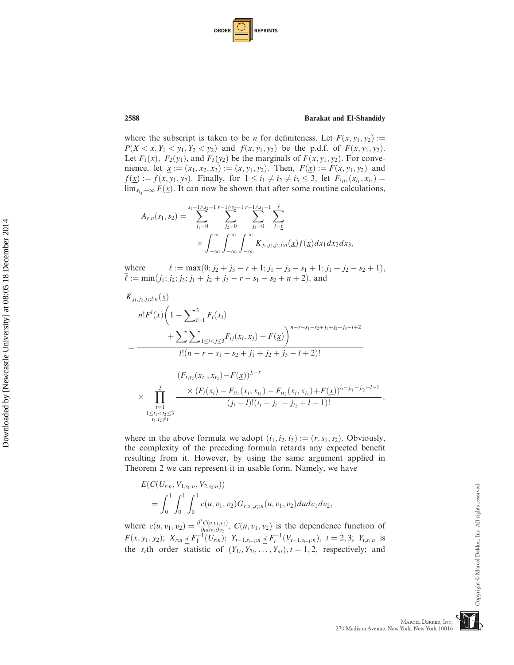| <b>ORDER</b> |  | <b>REPRINTS</b> |
|--------------|--|-----------------|
|--------------|--|-----------------|

where the subscript is taken to be *n* for definiteness. Let  $F(x, y_1, y_2) :=$  $P(X \le x, Y_1 \le y_1, Y_2 \le y_2)$  and  $f(x, y_1, y_2)$  be the p.d.f. of  $F(x, y_1, y_2)$ . Let  $F_1(x)$ ,  $F_2(y_1)$ , and  $F_3(y_2)$  be the marginals of  $F(x, y_1, y_2)$ . For convenience, let  $\underline{x} := (x_1, x_2, x_3) := (x, y_1, y_2)$ . Then,  $F(\underline{x}) := F(x, y_1, y_2)$  and  $f(\underline{x}) := f(x, y_1, y_2)$ . Finally, for  $1 \leq i_1 \neq i_2 \neq i_3 \leq 3$ , let  $F_{i_1 i_2}(x_{i_1}, x_{i_2}) =$  $\lim_{x_{i_3}\to\infty} F(\underline{x})$ . It can now be shown that after some routine calculations,

$$
A_{r:n}(s_1, s_2) = \sum_{j_1=0}^{s_1-1/s_2-1} \sum_{j_2=0}^{r-1/s_2-1} \sum_{j_3=0}^{r-1/s_1-1} \sum_{l=\underline{\ell}}^{\overline{\ell}} \sum_{l=\underline{\ell}} \times \int_{-\infty}^{\infty} \int_{-\infty}^{\infty} \int_{-\infty}^{\infty} K_{j_1, j_2, j_3; l:n}(\underline{x}) f(\underline{x}) dx_1 dx_2 dx_3,
$$

where  $\ell := \max(0; j_2 + j_3 - r + 1; j_1 + j_3 - s_1 + 1; j_1 + j_2 - s_2 + 1),$  $\overline{\ell} := \min(j_1; j_2; j_3; j_1 + j_2 + j_3 - r - s_1 - s_2 + n + 2)$ , and

$$
K_{j_1,j_2,j_3;l:n}(\underline{x})
$$
\n
$$
= \frac{\sum_{i=1}^3 F_i(x_i)}{N! \sum_{1 \le i < j \le 3} F_{ij}(x_i, x_j) - F(\underline{x})} \Big)^{n-r-s_1-s_2+j_1+j_2+j_3-l+2}
$$
\n
$$
= \frac{\sum_{1 \le i < j \le 3} F_{ij}(x_i, x_j) - F(\underline{x})}{N! \sum_{1 \le i < j \le 3} F_{ij}(x_i, x_j) - F(\underline{x})^{j_i-r}} \times \prod_{\substack{i=1 \ i \le l_1 \le i \le 3}}^3 \frac{\times (F_i(x_l) - F_{t_1}(x_l, x_{l_1}) - F_{t_2}(x_l, x_{l_1}) + F(\underline{x}))^{i_l-j_{l_1}-j_{l_2}+l-1}}{(j_t-l)!(i_t-j_{l_1}-j_{l_2}+l-1)!},
$$

where in the above formula we adopt  $(i_1, i_2, i_3) := (r, s_1, s_2)$ . Obviously, the complexity of the preceding formula retards any expected benefit resulting from it. However, by using the same argument applied in Theorem 2 we can represent it in usable form. Namely, we have

$$
E(C(U_{r:n}, V_{1,s_1:n}, V_{2,s_2:n}))
$$
  
=  $\int_0^1 \int_0^1 \int_0^1 c(u, v_1, v_2) G_{r,s_1,s_2:n}(u, v_1, v_2) du dv_1 dv_2$ ,

where  $c(u, v_1, v_2) = \frac{\partial^3 C(u, v_1, v_2)}{\partial u \partial v_1 \partial v_2}$ ,  $C(u, v_1, v_2)$  is the dependence function of  $F(x, y_1, y_2); X_{r:n} \underline{d} F_1^{-1}(U_{r:n}); Y_{t-1, s_{t-1}:n} \underline{d} F_t^{-1}(V_{t-1, s_{t-1}:n}), t = 2, 3; Y_{t, s_t:n}$  is the s<sub>t</sub>th order statistic of  $(Y_{1t}, Y_{2t}, \ldots, Y_{nt})$ ,  $t = 1, 2$ , respectively; and

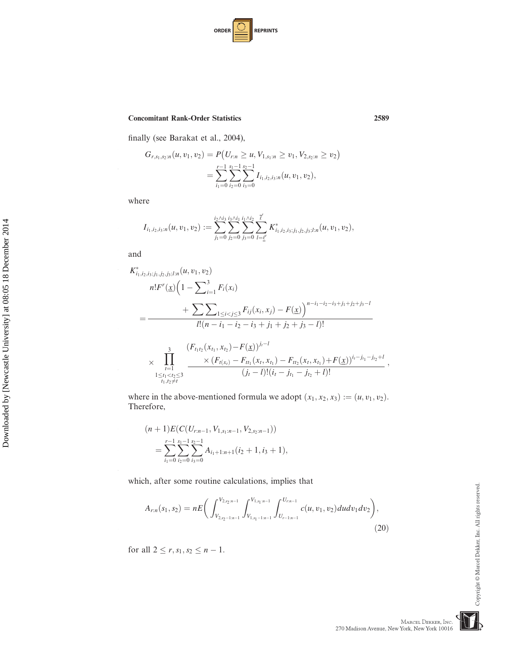| <b>ORDER</b> |  | <b>REPRINTS</b> |
|--------------|--|-----------------|
|--------------|--|-----------------|

finally (see Barakat et al., 2004),

$$
G_{r,s_1,s_2:n}(u,v_1,v_2) = P(U_{r:n} \ge u, V_{1,s_1:n} \ge v_1, V_{2,s_2:n} \ge v_2)
$$
  
= 
$$
\sum_{i_1=0}^{r-1} \sum_{i_2=0}^{s_1-1} \sum_{i_3=0}^{s_2-1} I_{i_1,i_2,i_3:n}(u,v_1,v_2),
$$

where

$$
I_{i_1,i_2,i_3:n}(u,v_1,v_2):=\sum_{j_1=0}^{i_2\wedge i_3}\sum_{j_2=0}^{i_3\wedge i_1}\sum_{j_3=0}^{i_1\wedge i_2}\sum_{l=\underline{\ell}'}^{\overline{\ell}} K^*_{i_1,i_2,i_3,j_1,j_2,j_3;l:n}(u,v_1,v_2),
$$

and

 $\overline{1}$ 

16

 $\overline{1}$ 

Downloaded by [Newcastle University] at 08:05 18 December 2014 Downloaded by [Newcastle University] at 08:05 18 December 2014

30

36

 $\overline{1}$ 

$$
K_{i_1,i_2,i_3,j_1,j_2,j_3,l:n}^{*}(u, v_1, v_2)
$$
\n
$$
= \frac{\sum_{i=1}^{3} F_i(x_i)}{1 - \sum_{i=1}^{3} F_i(x_i)}
$$
\n
$$
= \frac{\sum_{1 \le i < j \le 3} F_{ij}(x_i, x_j) - F(\underline{x})}{1! (n - i_1 - i_2 - i_3 + j_1 + j_2 + j_3 - l)!}
$$
\n
$$
\times \prod_{\substack{l=1 \le i \\ l \le t_1 < t_2 \le 3}}^{3} \frac{(F_{t_1t_2}(x_{t_1}, x_{t_2}) - F(\underline{x}))^{j_l - l}}{(j_l - l)!(i_l - j_{t_1} - j_{t_2} + l)!},
$$

where in the above-mentioned formula we adopt  $(x_1, x_2, x_3) := (u, v_1, v_2)$ . Therefore,

$$
(n+1)E(C(U_{r:n-1}, V_{1,s_1:n-1}, V_{2,s_2:n-1}))
$$
  
= 
$$
\sum_{i_1=0}^{r-1} \sum_{i_2=0}^{s_1-1} \sum_{i_3=0}^{s_2-1} A_{i_1+1:n+1}(i_2+1, i_3+1),
$$

which, after some routine calculations, implies that

$$
A_{r:n}(s_1, s_2) = nE\bigg(\int_{V_{2,s_2-1:n-1}}^{V_{2,s_2:n-1}} \int_{V_{1,s_1-1:n-1}}^{V_{1,s_1:n-1}} \int_{U_{r-1:n-1}}^{U_{r:n-1}} c(u, v_1, v_2) du dv_1 dv_2\bigg),\tag{20}
$$

for all  $2 \le r, s_1, s_2 \le n - 1$ .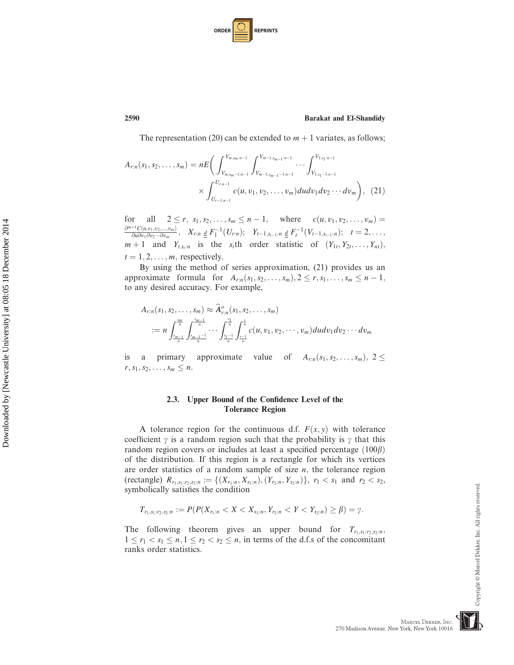| <b>ORDER</b> |  | <b>REPRINTS</b> |
|--------------|--|-----------------|
|--------------|--|-----------------|

The representation (20) can be extended to  $m + 1$  variates, as follows;

$$
A_{r:n}(s_1, s_2, \dots, s_m) = nE \bigg( \int_{V_{m,s_m-1:n-1}}^{V_{m,s_m:n-1}} \int_{V_{m-1,s_{m-1}-1:n-1}}^{V_{m-1,s_{m-1}:n-1}} \dots \int_{V_{1,s_1-1:n-1}}^{V_{1,s_1:n-1}} \dots \int_{V_{1,s_1-1:n-1}}^{V_{1,s_1:n-1}} \dots \int_{V_{1,s_1-1:n-1}}^{V_{1,s_1:n-1}} \dots \int_{V_{1,s_1-1:n-1}}^{V_{1,s_1:n-1}} \dots \int_{V_{1,s_1-1:n-1}}^{V_{1,s_1:n-1}} \dots \int_{V_{1,s_1-1:n-1}}^{V_{1,s_1:n-1}} \dots \int_{V_{1,s_1-1:n-1}}^{V_{1,s_1:n-1}} \dots \int_{V_{1,s_1-1:n-1}}^{V_{1,s_1:n-1}} \dots \int_{V_{1,s_1-1:n-1}}^{V_{1,s_1:n-1}} \dots \int_{V_{1,s_1-1:n-1}}^{V_{1,s_1:n-1}} \dots \int_{V_{1,s_1-1:n-1}}^{V_{1,s_1:n-1}} \dots \int_{V_{1,s_1-1:n-1}}^{V_{1,s_1:n-1}} \dots \int_{V_{1,s_1-1:n-1}}^{V_{1,s_1}:n-1} \dots \int_{V_{1,s_1-1:n-1}}^{V_{1,s_1}:n-1} \dots \int_{V_{1,s_1-1:n-1}}^{V_{1,s_1}:n-1} \dots \int_{V_{1,s_1-1:n-1}}^{V_{1,s_1}:n-1} \dots \int_{V_{1,s_1-1:n-1}}^{V_{1,s_1}:n-1} \dots \int_{V_{1,s_1-1:n-1}}^{V_{1,s_1}:n-1} \dots \int_{V_{1,s_1-1:n-1}}^{V_{1,s_1}:n-1} \dots \int_{V_{1,s_1-1:n-1}}^{V_{1,s_1}:n-1} \dots \int_{V_{1,s_1-1:n-1}}^{V_{1,s_1}:n-1} \dots \int_{V_{1,s_1-1:n-1}}^{V_{1,s_1}:n-1} \dots \int_{V_{1,s_1-1:n-1}}^{V_{1,s_1}:n-1} \dots \int_{V_{1,s_1-1:n-1}}^{V
$$

for all  $2 \le r, s_1, s_2, \ldots, s_m \le n - 1$ , where  $c(u, v_1, v_2, \ldots, v_m) =$  $\frac{\partial^{m+1}C(u,v_1,v_2,...,v_m)}{\partial u \partial v \partial v \partial v \partial v}$  $\frac{\partial^{11}C(u,v_1,v_2,...,v_m)}{\partial u \partial v_1 \partial v_2 ... \partial v_m},$   $X_{r:n} \underline{d} F_1^{-1}(U_{r:n});$   $Y_{t-1,s_{t-1}:n} \underline{d} F_1^{-1}(V_{t-1,s_{t-1}:n});$   $t = 2,...,$  $m+1$  and  $Y_{t,s_t:n}$  is the s<sub>t</sub>th order statistic of  $(Y_{1t}, Y_{2t}, \ldots, Y_{nt}),$  $t = 1, 2, \ldots, m$ , respectively.

By using the method of series approximation, (21) provides us an approximate formula for  $A_{r:n}(s_1, s_2, \ldots, s_m)$ ,  $2 \leq r, s_1, \ldots, s_m \leq n - 1$ , to any desired accuracy. For example,

$$
A_{r:n}(s_1, s_2, \ldots, s_m) \approx \widehat{A}_{r:n}^o(s_1, s_2, \ldots, s_m)
$$
  
:=  $n \int_{\frac{s_{m-1}}{n}}^{\frac{s_m}{n}} \int_{\frac{s_{m-1}-1}{n}}^{\frac{s_m}{n}} \cdots \int_{\frac{s_1-1}{n}}^{\frac{s_1}{n}} \int_{\frac{r-1}{n}}^{\frac{r}{n}} c(u, v_1, v_2, \cdots, v_m) du dv_1 dv_2 \cdots dv_m$ 

is a primary approximate value of  $A_{r,n}(s_1, s_2, \ldots, s_m)$ ,  $2 \leq$  $r, s_1, s_2, \ldots, s_m \leq n$ .

# 2.3. Upper Bound of the Confidence Level of the Tolerance Region

A tolerance region for the continuous d.f.  $F(x, y)$  with tolerance coefficient  $\gamma$  is a random region such that the probability is  $\gamma$  that this random region covers or includes at least a specified percentage  $(100\beta)$ of the distribution. If this region is a rectangle for which its vertices are order statistics of a random sample of size  $n$ , the tolerance region (rectangle)  $R_{r_1,s_1;r_2,s_2:n} := \{(X_{r_1:n}, X_{s_1:n}), (Y_{r_2:n}, Y_{s_2:n})\}, r_1 < s_1 \text{ and } r_2 < s_2,$ symbolically satisfies the condition

$$
T_{r_1,s_1,r_2,s_2:n} := P(P(X_{r_1:n} < X < X_{s_1:n}, Y_{r_2:n} < Y < Y_{s_2:n}) \geq \beta) = \gamma.
$$

The following theorem gives an upper bound for  $T_{r_1,s_1;r_2,s_2:n}$  $1 \le r_1 < s_1 \le n, 1 \le r_2 < s_2 \le n$ , in terms of the d.f.s of the concomitant ranks order statistics.

Downloaded by [Newcastle University] at 08:05 18 December 2014 Downloaded by [Newcastle University] at 08:05 18 December 2014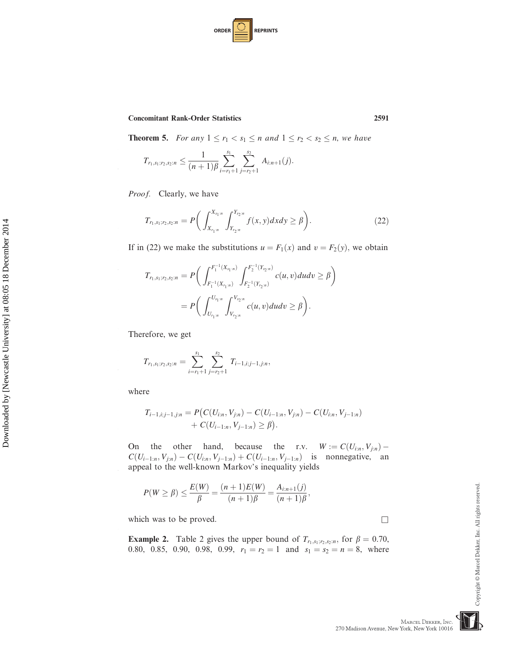| <b>ORDER</b> |  | <b>REPRINTS</b> |
|--------------|--|-----------------|
|--------------|--|-----------------|

**Theorem 5.** For any  $1 \le r_1 < s_1 \le n$  and  $1 \le r_2 < s_2 \le n$ , we have

$$
T_{r_1,s_1;r_2,s_2:n} \leq \frac{1}{(n+1)\beta} \sum_{i=r_1+1}^{s_1} \sum_{j=r_2+1}^{s_2} A_{i:n+1}(j).
$$

Proof. Clearly, we have

$$
T_{r_1,s_1;r_2,s_2:n} = P\bigg(\int_{X_{r_1:n}}^{X_{s_1:n}} \int_{Y_{r_2:n}}^{Y_{s_2:n}} f(x,y) dx dy \ge \beta\bigg). \tag{22}
$$

If in (22) we make the substitutions  $u = F_1(x)$  and  $v = F_2(y)$ , we obtain

$$
T_{r_1,s_1;r_2,s_2:n} = P\bigg(\int_{F_1^{-1}(X_{r_1:n})}^{F_1^{-1}(X_{s_1:n})} \int_{F_2^{-1}(Y_{r_2:n})}^{F_2^{-1}(Y_{s_2:n})} c(u,v) du dv \ge \beta \bigg)
$$
  
= 
$$
P\bigg(\int_{U_{r_1:n}}^{U_{s_1:n}} \int_{V_{r_2:n}}^{V_{s_2:n}} c(u,v) du dv \ge \beta \bigg).
$$

Therefore, we get

$$
T_{r_1,s_1;r_2,s_2:n} = \sum_{i=r_1+1}^{s_1} \sum_{j=r_2+1}^{s_2} T_{i-1,i,j-1,j:n},
$$

where

10

20

30

40

$$
T_{i-1,i;j-1,j;n} = P\big(C(U_{i:n}, V_{j:n}) - C(U_{i-1:n}, V_{j:n}) - C(U_{i:n}, V_{j-1:n}) + C(U_{i-1:n}, V_{j-1:n}) \ge \beta\big).
$$

On the other hand, because the r.v.  $W := C(U_{i:n}, V_{j:n}) C(U_{i-1:n}, V_{j:n}) - C(U_{i:n}, V_{j-1:n}) + C(U_{i-1:n}, V_{j-1:n})$  is nonnegative, an appeal to the well-known Markov's inequality yields

$$
P(W \ge \beta) \le \frac{E(W)}{\beta} = \frac{(n+1)E(W)}{(n+1)\beta} = \frac{A_{i:n+1}(j)}{(n+1)\beta},
$$

which was to be proved.  $\Box$ 

**Example 2.** Table 2 gives the upper bound of  $T_{r_1,s_1,r_2,s_2:n}$ , for  $\beta = 0.70$ , 0.80, 0.85, 0.90, 0.98, 0.99,  $r_1 = r_2 = 1$ , and  $s_1 = s_2 = n - 8$ , where 0.80, 0.85, 0.90, 0.98, 0.99,  $r_1 = r_2 = 1$  and  $s_1 = s_2 = n = 8$ , where

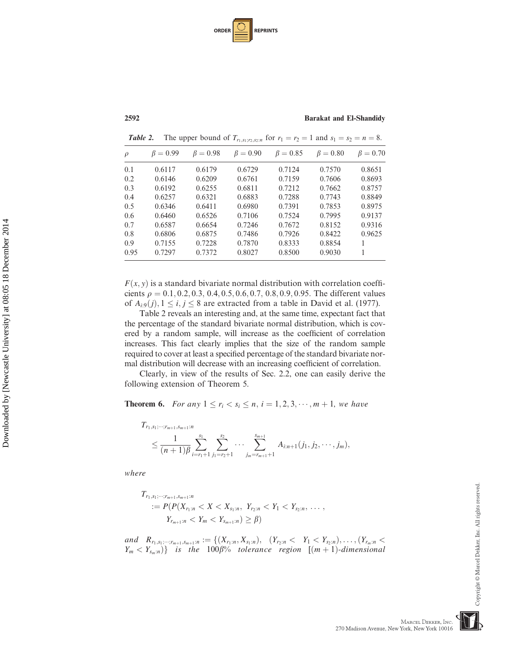| <b>ORDER</b> |  | <b>REPRINTS</b> |
|--------------|--|-----------------|
|--------------|--|-----------------|

| $\rho$ | $\beta = 0.99$ | $\beta = 0.98$ | $\beta = 0.90$ | $\beta = 0.85$ | $\beta = 0.80$ | $\beta = 0.70$ |
|--------|----------------|----------------|----------------|----------------|----------------|----------------|
| 0.1    | 0.6117         | 0.6179         | 0.6729         | 0.7124         | 0.7570         | 0.8651         |
| 0.2    | 0.6146         | 0.6209         | 0.6761         | 0.7159         | 0.7606         | 0.8693         |
| 0.3    | 0.6192         | 0.6255         | 0.6811         | 0.7212         | 0.7662         | 0.8757         |
| 0.4    | 0.6257         | 0.6321         | 0.6883         | 0.7288         | 0.7743         | 0.8849         |
| 0.5    | 0.6346         | 0.6411         | 0.6980         | 0.7391         | 0.7853         | 0.8975         |
| 0.6    | 0.6460         | 0.6526         | 0.7106         | 0.7524         | 0.7995         | 0.9137         |
| 0.7    | 0.6587         | 0.6654         | 0.7246         | 0.7672         | 0.8152         | 0.9316         |
| 0.8    | 0.6806         | 0.6875         | 0.7486         | 0.7926         | 0.8422         | 0.9625         |
| 0.9    | 0.7155         | 0.7228         | 0.7870         | 0.8333         | 0.8854         |                |
| 0.95   | 0.7297         | 0.7372         | 0.8027         | 0.8500         | 0.9030         |                |

**Table 2.** The upper bound of  $T_{r_1,s_1;r_2,s_2:n}$  for  $r_1 = r_2 = 1$  and  $s_1 = s_2 = n = 8$ .

 $F(x, y)$  is a standard bivariate normal distribution with correlation coefficients  $\rho = 0.1, 0.2, 0.3, 0.4, 0.5, 0.6, 0.7, 0.8, 0.9, 0.95$ . The different values of  $A_{i:9}(j), 1 \leq i, j \leq 8$  are extracted from a table in David et al. (1977).

Table 2 reveals an interesting and, at the same time, expectant fact that the percentage of the standard bivariate normal distribution, which is covered by a random sample, will increase as the coefficient of correlation increases. This fact clearly implies that the size of the random sample required to cover at least a specified percentage of the standard bivariate normal distribution will decrease with an increasing coefficient of correlation.

Clearly, in view of the results of Sec. 2.2, one can easily derive the following extension of Theorem 5.

**Theorem 6.** For any  $1 \le r_i < s_i \le n, i = 1, 2, 3, \dots, m + 1$ , we have

$$
T_{r_1,s_1;\dots;r_{m+1},s_{m+1}:n} \leq \frac{1}{(n+1)\beta} \sum_{i=r_1+1}^{s_1} \sum_{j_1=r_2+1}^{s_2} \cdots \sum_{j_m=r_{m+1}+1}^{s_{m+1}} A_{i:n+1}(j_1,j_2,\dots,j_m),
$$

where

$$
T_{r_1,s_1;\dots;r_{m+1},s_{m+1}:n}
$$
  
:=  $P(P(X_{r_1:n} < X < X_{s_1:n}, Y_{r_2:n} < Y_1 < Y_{s_2:n}, \dots, Y_{r_{m+1}:n} < Y_m < Y_{s_{m+1}:n}) \geq \beta$ )

and  $R_{r_1, s_1; \dots; r_{m+1}, s_{m+1}:n} := \{(X_{r_1:n}, X_{s_1:n}), (Y_{r_2:n} < Y_1 < Y_{s_2:n}), \dots, (Y_{r_m:n} < Y_{r_m} < Y_{r_m:n})\}$  is the 1008% tolerance region  $[(m+1),$  dimensional  $Y_m < Y_{s_m:n}$ } is the 100 $\beta$ % tolerance region  $[(m+1)-dimensional]$ 

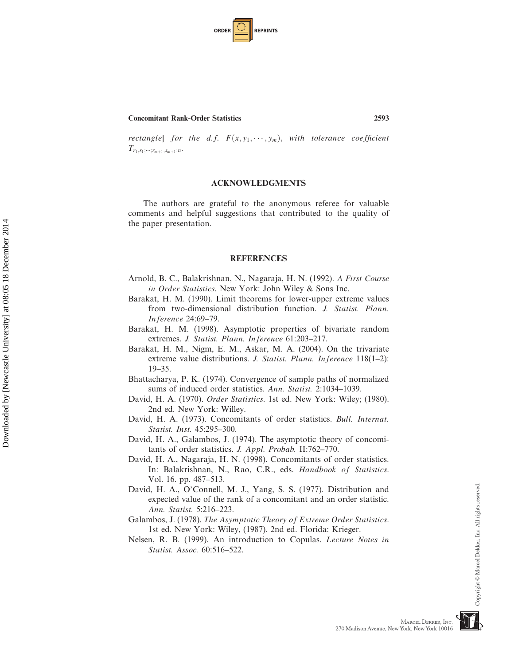| <b>ORDER</b> |  | <b>REPRINTS</b> |
|--------------|--|-----------------|
|--------------|--|-----------------|

10

20

Downloaded by [Newcastle University] at 08:05 18 December 2014 Downloaded by [Newcastle University] at 08:05 18 December 2014

30

40

rectangle] for the d.f.  $F(x, y_1, \dots, y_m)$ , with tolerance coefficient  $T$  $T_{r_1,s_1;\cdots;r_{m+1},s_{m+1}:n}$ .

### ACKNOWLEDGMENTS

The authors are grateful to the anonymous referee for valuable comments and helpful suggestions that contributed to the quality of the paper presentation.

#### REFERENCES

- Arnold, B. C., Balakrishnan, N., Nagaraja, H. N. (1992). A First Course in Order Statistics. New York: John Wiley & Sons Inc.
- Barakat, H. M. (1990). Limit theorems for lower-upper extreme values from two-dimensional distribution function. J. Statist. Plann. Inference 24:69–79.
- Barakat, H. M. (1998). Asymptotic properties of bivariate random extremes. J. Statist. Plann. Inference 61:203–217.
- Barakat, H. M., Nigm, E. M., Askar, M. A. (2004). On the trivariate extreme value distributions. J. Statist. Plann. Inference 118(1–2): 19–35.
- Bhattacharya, P. K. (1974). Convergence of sample paths of normalized sums of induced order statistics. Ann. Statist. 2:1034–1039.
- David, H. A. (1970). Order Statistics. 1st ed. New York: Wiley; (1980). 2nd ed. New York: Willey.
- David, H. A. (1973). Concomitants of order statistics. Bull. Internat. Statist. Inst. 45:295–300.
- David, H. A., Galambos, J. (1974). The asymptotic theory of concomitants of order statistics. J. Appl. Probab. II:762–770.
- David, H. A., Nagaraja, H. N. (1998). Concomitants of order statistics. In: Balakrishnan, N., Rao, C.R., eds. Handbook of Statistics. Vol. 16. pp. 487–513.
- David, H. A., O'Connell, M. J., Yang, S. S. (1977). Distribution and expected value of the rank of a concomitant and an order statistic. Ann. Statist. 5:216–223.
- Galambos, J. (1978). The Asymptotic Theory of Extreme Order Statistics. 1st ed. New York: Wiley, (1987). 2nd ed. Florida: Krieger.
- Nelsen, R. B. (1999). An introduction to Copulas. Lecture Notes in Statist. Assoc. 60:516–522.

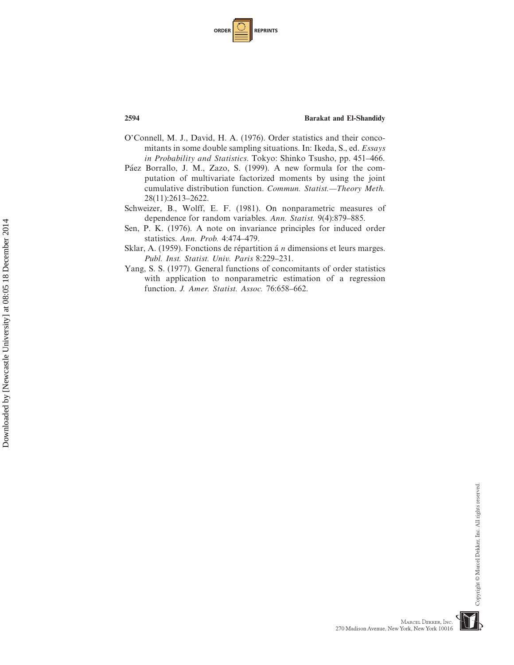| <b>ORDER</b> |  | <b>REPRINTS</b> |
|--------------|--|-----------------|
|--------------|--|-----------------|

- O'Connell, M. J., David, H. A. (1976). Order statistics and their concomitants in some double sampling situations. In: Ikeda, S., ed. Essays in Probability and Statistics. Tokyo: Shinko Tsusho, pp. 451–466.
- Páez Borrallo, J. M., Zazo, S. (1999). A new formula for the computation of multivariate factorized moments by using the joint cumulative distribution function. Commun. Statist.—Theory Meth. 28(11):2613–2622.
- Schweizer, B., Wolff, E. F. (1981). On nonparametric measures of dependence for random variables. Ann. Statist. 9(4):879–885.
- Sen, P. K. (1976). A note on invariance principles for induced order statistics. Ann. Prob. 4:474–479.
- Sklar, A. (1959). Fonctions de répartition á  $n$  dimensions et leurs marges. Publ. Inst. Statist. Univ. Paris 8:229–231.
- Yang, S. S. (1977). General functions of concomitants of order statistics with application to nonparametric estimation of a regression function. J. Amer. Statist. Assoc. 76:658-662.